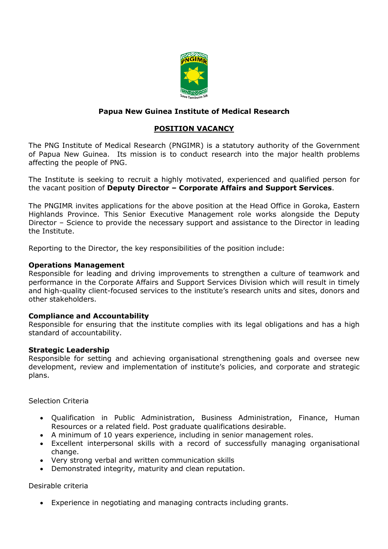

# **Papua New Guinea Institute of Medical Research**

## **POSITION VACANCY**

The PNG Institute of Medical Research (PNGIMR) is a statutory authority of the Government of Papua New Guinea. Its mission is to conduct research into the major health problems affecting the people of PNG.

The Institute is seeking to recruit a highly motivated, experienced and qualified person for the vacant position of **Deputy Director – Corporate Affairs and Support Services**.

The PNGIMR invites applications for the above position at the Head Office in Goroka, Eastern Highlands Province. This Senior Executive Management role works alongside the Deputy Director – Science to provide the necessary support and assistance to the Director in leading the Institute.

Reporting to the Director, the key responsibilities of the position include:

#### **Operations Management**

Responsible for leading and driving improvements to strengthen a culture of teamwork and performance in the Corporate Affairs and Support Services Division which will result in timely and high-quality client-focused services to the institute's research units and sites, donors and other stakeholders.

## **Compliance and Accountability**

Responsible for ensuring that the institute complies with its legal obligations and has a high standard of accountability.

## **Strategic Leadership**

Responsible for setting and achieving organisational strengthening goals and oversee new development, review and implementation of institute's policies, and corporate and strategic plans.

Selection Criteria

- Qualification in Public Administration, Business Administration, Finance, Human Resources or a related field. Post graduate qualifications desirable.
- A minimum of 10 years experience, including in senior management roles.
- Excellent interpersonal skills with a record of successfully managing organisational change.
- Very strong verbal and written communication skills
- Demonstrated integrity, maturity and clean reputation.

Desirable criteria

Experience in negotiating and managing contracts including grants.